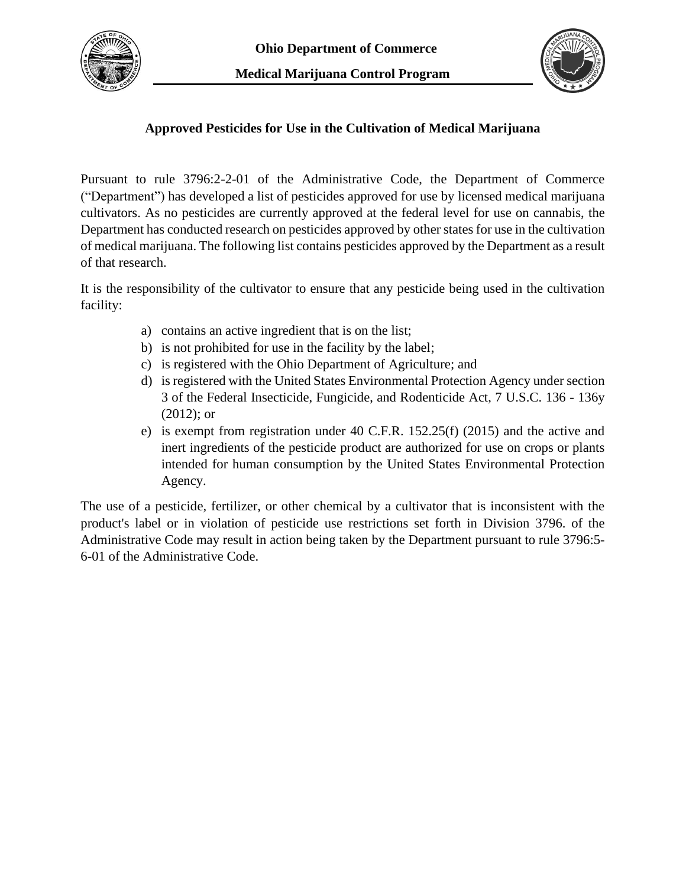



## **Approved Pesticides for Use in the Cultivation of Medical Marijuana**

Pursuant to rule 3796:2-2-01 of the Administrative Code, the Department of Commerce ("Department") has developed a list of pesticides approved for use by licensed medical marijuana cultivators. As no pesticides are currently approved at the federal level for use on cannabis, the Department has conducted research on pesticides approved by other states for use in the cultivation of medical marijuana. The following list contains pesticides approved by the Department as a result of that research.

It is the responsibility of the cultivator to ensure that any pesticide being used in the cultivation facility:

- a) contains an active ingredient that is on the list;
- b) is not prohibited for use in the facility by the label;
- c) is registered with the Ohio Department of Agriculture; and
- d) is registered with the United States Environmental Protection Agency under section 3 of the Federal Insecticide, Fungicide, and Rodenticide Act, 7 U.S.C. 136 - 136y (2012); or
- e) is exempt from registration under 40 C.F.R. 152.25(f) (2015) and the active and inert ingredients of the pesticide product are authorized for use on crops or plants intended for human consumption by the United States Environmental Protection Agency.

The use of a pesticide, fertilizer, or other chemical by a cultivator that is inconsistent with the product's label or in violation of pesticide use restrictions set forth in Division 3796. of the Administrative Code may result in action being taken by the Department pursuant to rule 3796:5- 6-01 of the Administrative Code.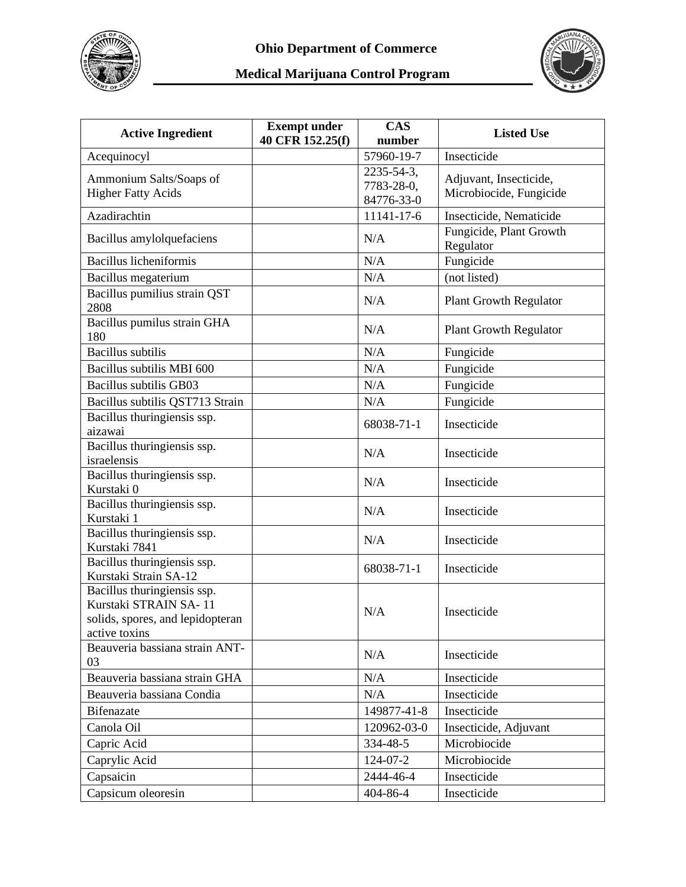



| <b>Active Ingredient</b>                                                                                  | <b>Exempt under</b> | <b>CAS</b>           | <b>Listed Use</b>                    |
|-----------------------------------------------------------------------------------------------------------|---------------------|----------------------|--------------------------------------|
| Acequinocyl                                                                                               | 40 CFR 152.25(f)    | number<br>57960-19-7 | Insecticide                          |
|                                                                                                           |                     | 2235-54-3,           |                                      |
| Ammonium Salts/Soaps of                                                                                   |                     | 7783-28-0,           | Adjuvant, Insecticide,               |
| <b>Higher Fatty Acids</b>                                                                                 |                     | 84776-33-0           | Microbiocide, Fungicide              |
| Azadirachtin                                                                                              |                     | 11141-17-6           | Insecticide, Nematicide              |
| Bacillus amylolquefaciens                                                                                 |                     | N/A                  | Fungicide, Plant Growth<br>Regulator |
| <b>Bacillus licheniformis</b>                                                                             |                     | N/A                  | Fungicide                            |
| Bacillus megaterium                                                                                       |                     | N/A                  | (not listed)                         |
| Bacillus pumilius strain QST<br>2808                                                                      |                     | N/A                  | <b>Plant Growth Regulator</b>        |
| Bacillus pumilus strain GHA<br>180                                                                        |                     | N/A                  | <b>Plant Growth Regulator</b>        |
| <b>Bacillus</b> subtilis                                                                                  |                     | N/A                  | Fungicide                            |
| Bacillus subtilis MBI 600                                                                                 |                     | N/A                  | Fungicide                            |
| <b>Bacillus subtilis GB03</b>                                                                             |                     | N/A                  | Fungicide                            |
| Bacillus subtilis QST713 Strain                                                                           |                     | N/A                  | Fungicide                            |
| Bacillus thuringiensis ssp.<br>aizawai                                                                    |                     | 68038-71-1           | Insecticide                          |
| Bacillus thuringiensis ssp.<br>israelensis                                                                |                     | N/A                  | Insecticide                          |
| Bacillus thuringiensis ssp.<br>Kurstaki 0                                                                 |                     | N/A                  | Insecticide                          |
| Bacillus thuringiensis ssp.<br>Kurstaki 1                                                                 |                     | N/A                  | Insecticide                          |
| Bacillus thuringiensis ssp.<br>Kurstaki 7841                                                              |                     | N/A                  | Insecticide                          |
| Bacillus thuringiensis ssp.<br>Kurstaki Strain SA-12                                                      |                     | 68038-71-1           | Insecticide                          |
| Bacillus thuringiensis ssp.<br>Kurstaki STRAIN SA-11<br>solids, spores, and lepidopteran<br>active toxins |                     | N/A                  | Insecticide                          |
| Beauveria bassiana strain ANT-<br>03                                                                      |                     | N/A                  | Insecticide                          |
| Beauveria bassiana strain GHA                                                                             |                     | N/A                  | Insecticide                          |
| Beauveria bassiana Condia                                                                                 |                     | N/A                  | Insecticide                          |
| Bifenazate                                                                                                |                     | 149877-41-8          | Insecticide                          |
| Canola Oil                                                                                                |                     | 120962-03-0          | Insecticide, Adjuvant                |
| Capric Acid                                                                                               |                     | 334-48-5             | Microbiocide                         |
| Caprylic Acid                                                                                             |                     | 124-07-2             | Microbiocide                         |
| Capsaicin                                                                                                 |                     | 2444-46-4            | Insecticide                          |
| Capsicum oleoresin                                                                                        |                     | 404-86-4             | Insecticide                          |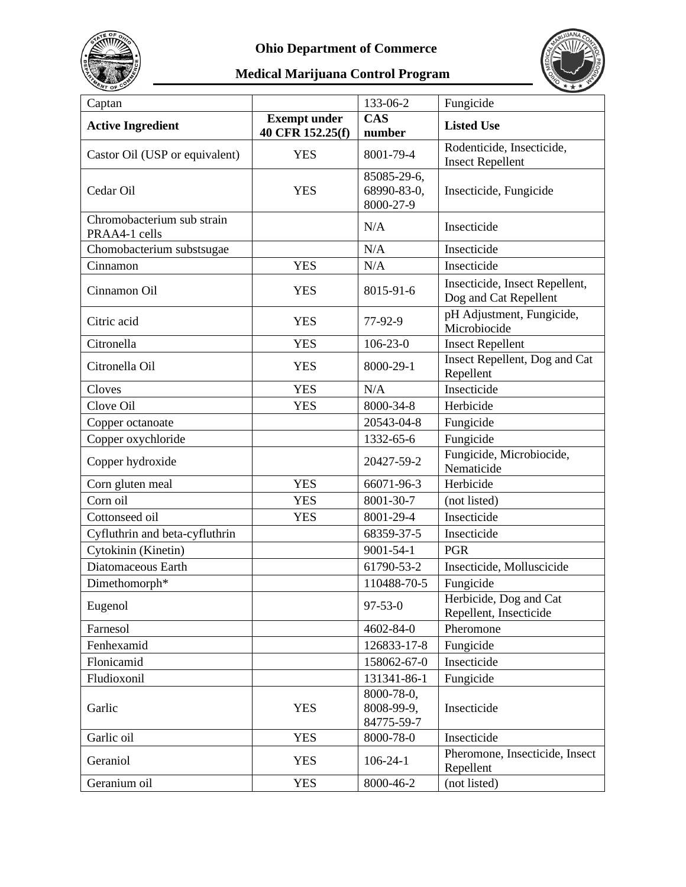



| Captan                                      |                                         | 133-06-2                                | Fungicide                                               |
|---------------------------------------------|-----------------------------------------|-----------------------------------------|---------------------------------------------------------|
| <b>Active Ingredient</b>                    | <b>Exempt under</b><br>40 CFR 152.25(f) | <b>CAS</b><br>number                    | <b>Listed Use</b>                                       |
| Castor Oil (USP or equivalent)              | <b>YES</b>                              | 8001-79-4                               | Rodenticide, Insecticide,<br><b>Insect Repellent</b>    |
| Cedar Oil                                   | <b>YES</b>                              | 85085-29-6,<br>68990-83-0,<br>8000-27-9 | Insecticide, Fungicide                                  |
| Chromobacterium sub strain<br>PRAA4-1 cells |                                         | N/A                                     | Insecticide                                             |
| Chomobacterium substsugae                   |                                         | N/A                                     | Insecticide                                             |
| Cinnamon                                    | <b>YES</b>                              | N/A                                     | Insecticide                                             |
| Cinnamon Oil                                | <b>YES</b>                              | 8015-91-6                               | Insecticide, Insect Repellent,<br>Dog and Cat Repellent |
| Citric acid                                 | <b>YES</b>                              | 77-92-9                                 | pH Adjustment, Fungicide,<br>Microbiocide               |
| Citronella                                  | <b>YES</b>                              | $106 - 23 - 0$                          | <b>Insect Repellent</b>                                 |
| Citronella Oil                              | <b>YES</b>                              | 8000-29-1                               | Insect Repellent, Dog and Cat<br>Repellent              |
| Cloves                                      | <b>YES</b>                              | N/A                                     | Insecticide                                             |
| Clove Oil                                   | <b>YES</b>                              | 8000-34-8                               | Herbicide                                               |
| Copper octanoate                            |                                         | 20543-04-8                              | Fungicide                                               |
| Copper oxychloride                          |                                         | 1332-65-6                               | Fungicide                                               |
| Copper hydroxide                            |                                         | 20427-59-2                              | Fungicide, Microbiocide,<br>Nematicide                  |
| Corn gluten meal                            | <b>YES</b>                              | 66071-96-3                              | Herbicide                                               |
| Corn oil                                    | <b>YES</b>                              | 8001-30-7                               | (not listed)                                            |
| Cottonseed oil                              | <b>YES</b>                              | 8001-29-4                               | Insecticide                                             |
| Cyfluthrin and beta-cyfluthrin              |                                         | 68359-37-5                              | Insecticide                                             |
| Cytokinin (Kinetin)                         |                                         | $9001 - 54 - 1$                         | <b>PGR</b>                                              |
| Diatomaceous Earth                          |                                         | 61790-53-2                              | Insecticide, Molluscicide                               |
| Dimethomorph*                               |                                         | 110488-70-5                             | Fungicide                                               |
| Eugenol                                     |                                         | $97 - 53 - 0$                           | Herbicide, Dog and Cat<br>Repellent, Insecticide        |
| Farnesol                                    |                                         | 4602-84-0                               | Pheromone                                               |
| Fenhexamid                                  |                                         | 126833-17-8                             | Fungicide                                               |
| Flonicamid                                  |                                         | 158062-67-0                             | Insecticide                                             |
| Fludioxonil                                 |                                         | 131341-86-1                             | Fungicide                                               |
| Garlic                                      |                                         | 8000-78-0.                              | Insecticide                                             |
|                                             | <b>YES</b>                              | 8008-99-9,                              |                                                         |
|                                             |                                         | 84775-59-7                              |                                                         |
| Garlic oil                                  | <b>YES</b>                              | 8000-78-0                               | Insecticide                                             |
| Geraniol                                    | <b>YES</b>                              | $106 - 24 - 1$                          | Pheromone, Insecticide, Insect<br>Repellent             |
| Geranium oil                                | <b>YES</b>                              | 8000-46-2                               | (not listed)                                            |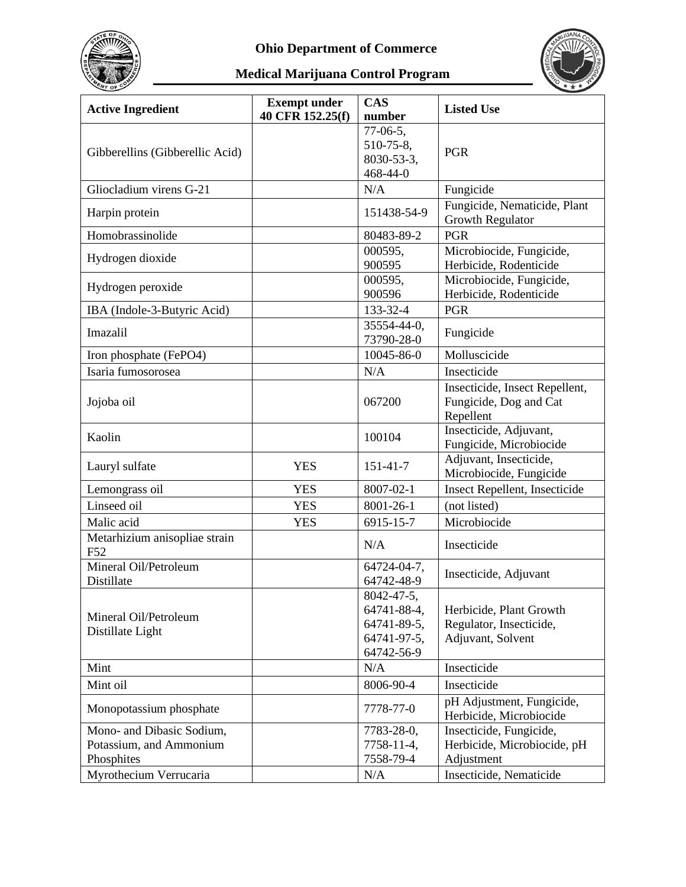



| <b>Active Ingredient</b>                             | <b>Exempt under</b><br>40 CFR 152.25(f) | <b>CAS</b><br>number                                                  | <b>Listed Use</b>                                                       |
|------------------------------------------------------|-----------------------------------------|-----------------------------------------------------------------------|-------------------------------------------------------------------------|
| Gibberellins (Gibberellic Acid)                      |                                         | $77-06-5$ ,<br>510-75-8,<br>8030-53-3,<br>468-44-0                    | PGR                                                                     |
| Gliocladium virens G-21                              |                                         | N/A                                                                   | Fungicide                                                               |
| Harpin protein                                       |                                         | 151438-54-9                                                           | Fungicide, Nematicide, Plant<br>Growth Regulator                        |
| Homobrassinolide                                     |                                         | 80483-89-2                                                            | <b>PGR</b>                                                              |
| Hydrogen dioxide                                     |                                         | 000595,<br>900595                                                     | Microbiocide, Fungicide,<br>Herbicide, Rodenticide                      |
| Hydrogen peroxide                                    |                                         | 000595,<br>900596                                                     | Microbiocide, Fungicide,<br>Herbicide, Rodenticide                      |
| IBA (Indole-3-Butyric Acid)                          |                                         | 133-32-4                                                              | <b>PGR</b>                                                              |
| Imazalil                                             |                                         | 35554-44-0,<br>73790-28-0                                             | Fungicide                                                               |
| Iron phosphate (FePO4)                               |                                         | 10045-86-0                                                            | Molluscicide                                                            |
| Isaria fumosorosea                                   |                                         | N/A                                                                   | Insecticide                                                             |
| Jojoba oil                                           |                                         | 067200                                                                | Insecticide, Insect Repellent,<br>Fungicide, Dog and Cat<br>Repellent   |
| Kaolin                                               |                                         | 100104                                                                | Insecticide, Adjuvant,<br>Fungicide, Microbiocide                       |
| Lauryl sulfate                                       | <b>YES</b>                              | $151 - 41 - 7$                                                        | Adjuvant, Insecticide,<br>Microbiocide, Fungicide                       |
| Lemongrass oil                                       | <b>YES</b>                              | 8007-02-1                                                             | Insect Repellent, Insecticide                                           |
| Linseed oil                                          | <b>YES</b>                              | 8001-26-1                                                             | (not listed)                                                            |
| Malic acid                                           | <b>YES</b>                              | 6915-15-7                                                             | Microbiocide                                                            |
| Metarhizium anisopliae strain<br>F52                 |                                         | N/A                                                                   | Insecticide                                                             |
| Mineral Oil/Petroleum<br>Distillate                  |                                         | 64724-04-7,<br>64742-48-9                                             | Insecticide, Adjuvant                                                   |
| Mineral Oil/Petroleum<br>Distillate Light            |                                         | 8042-47-5,<br>64741-88-4,<br>64741-89-5,<br>64741-97-5,<br>64742-56-9 | Herbicide, Plant Growth<br>Regulator, Insecticide,<br>Adjuvant, Solvent |
| Mint                                                 |                                         | N/A                                                                   | Insecticide                                                             |
| Mint oil                                             |                                         | 8006-90-4                                                             | Insecticide                                                             |
| Monopotassium phosphate                              |                                         | 7778-77-0                                                             | pH Adjustment, Fungicide,<br>Herbicide, Microbiocide                    |
| Mono- and Dibasic Sodium,<br>Potassium, and Ammonium |                                         | 7783-28-0,<br>7758-11-4,                                              | Insecticide, Fungicide,<br>Herbicide, Microbiocide, pH                  |
| Phosphites<br>Myrothecium Verrucaria                 |                                         | 7558-79-4<br>N/A                                                      | Adjustment<br>Insecticide, Nematicide                                   |
|                                                      |                                         |                                                                       |                                                                         |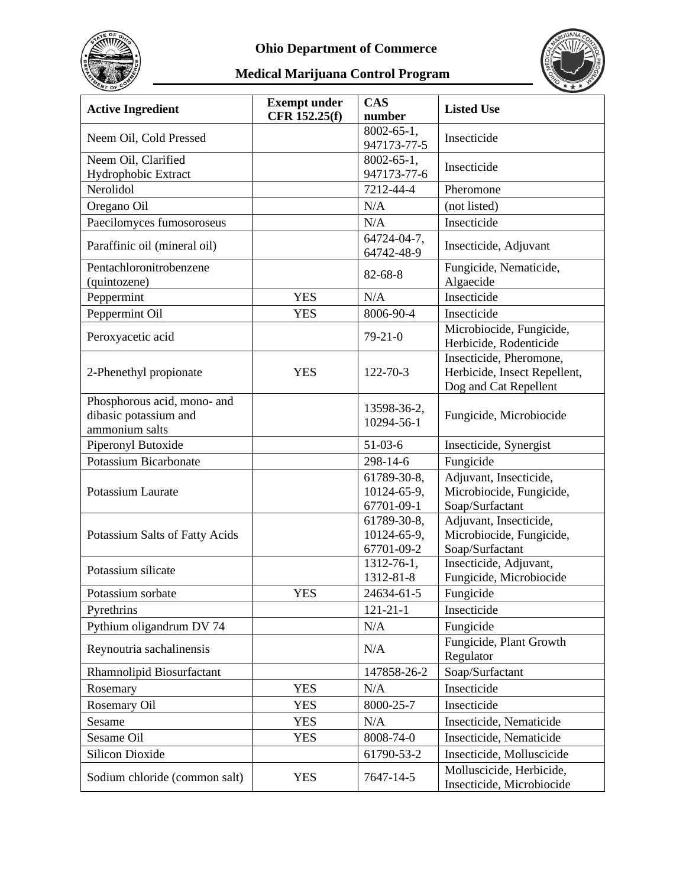



| <b>Active Ingredient</b>                                               | <b>Exempt under</b><br>CFR 152.25(f) | <b>CAS</b><br>number                     | <b>Listed Use</b>                                                                |
|------------------------------------------------------------------------|--------------------------------------|------------------------------------------|----------------------------------------------------------------------------------|
| Neem Oil, Cold Pressed                                                 |                                      | $8002 - 65 - 1$ ,<br>947173-77-5         | Insecticide                                                                      |
| Neem Oil, Clarified<br>Hydrophobic Extract                             |                                      | $8002 - 65 - 1$ ,<br>947173-77-6         | Insecticide                                                                      |
| Nerolidol                                                              |                                      | 7212-44-4                                | Pheromone                                                                        |
| Oregano Oil                                                            |                                      | N/A                                      | (not listed)                                                                     |
| Paecilomyces fumosoroseus                                              |                                      | N/A                                      | Insecticide                                                                      |
| Paraffinic oil (mineral oil)                                           |                                      | 64724-04-7,<br>64742-48-9                | Insecticide, Adjuvant                                                            |
| Pentachloronitrobenzene<br>(quintozene)                                |                                      | $82 - 68 - 8$                            | Fungicide, Nematicide,<br>Algaecide                                              |
| Peppermint                                                             | <b>YES</b>                           | N/A                                      | Insecticide                                                                      |
| Peppermint Oil                                                         | <b>YES</b>                           | 8006-90-4                                | Insecticide                                                                      |
| Peroxyacetic acid                                                      |                                      | $79 - 21 - 0$                            | Microbiocide, Fungicide,<br>Herbicide, Rodenticide                               |
| 2-Phenethyl propionate                                                 | <b>YES</b>                           | 122-70-3                                 | Insecticide, Pheromone,<br>Herbicide, Insect Repellent,<br>Dog and Cat Repellent |
| Phosphorous acid, mono- and<br>dibasic potassium and<br>ammonium salts |                                      | 13598-36-2,<br>10294-56-1                | Fungicide, Microbiocide                                                          |
| Piperonyl Butoxide                                                     |                                      | $51-03-6$                                | Insecticide, Synergist                                                           |
| <b>Potassium Bicarbonate</b>                                           |                                      | 298-14-6                                 | Fungicide                                                                        |
| Potassium Laurate                                                      |                                      | 61789-30-8,<br>10124-65-9,<br>67701-09-1 | Adjuvant, Insecticide,<br>Microbiocide, Fungicide,<br>Soap/Surfactant            |
| Potassium Salts of Fatty Acids                                         |                                      | 61789-30-8,<br>10124-65-9,<br>67701-09-2 | Adjuvant, Insecticide,<br>Microbiocide, Fungicide,<br>Soap/Surfactant            |
| Potassium silicate                                                     |                                      | 1312-76-1,<br>1312-81-8                  | Insecticide, Adjuvant,<br>Fungicide, Microbiocide                                |
| Potassium sorbate                                                      | <b>YES</b>                           | 24634-61-5                               | Fungicide                                                                        |
| Pyrethrins                                                             |                                      | $121 - 21 - 1$                           | Insecticide                                                                      |
| Pythium oligandrum DV 74                                               |                                      | N/A                                      | Fungicide                                                                        |
| Reynoutria sachalinensis                                               |                                      | N/A                                      | Fungicide, Plant Growth<br>Regulator                                             |
| Rhamnolipid Biosurfactant                                              |                                      | 147858-26-2                              | Soap/Surfactant                                                                  |
| Rosemary                                                               | <b>YES</b>                           | N/A                                      | Insecticide                                                                      |
| Rosemary Oil                                                           | <b>YES</b>                           | 8000-25-7                                | Insecticide                                                                      |
| Sesame                                                                 | <b>YES</b>                           | N/A                                      | Insecticide, Nematicide                                                          |
| Sesame Oil                                                             | <b>YES</b>                           | 8008-74-0                                | Insecticide, Nematicide                                                          |
| <b>Silicon Dioxide</b>                                                 |                                      | 61790-53-2                               | Insecticide, Molluscicide                                                        |
| Sodium chloride (common salt)                                          | <b>YES</b>                           | 7647-14-5                                | Molluscicide, Herbicide,<br>Insecticide, Microbiocide                            |